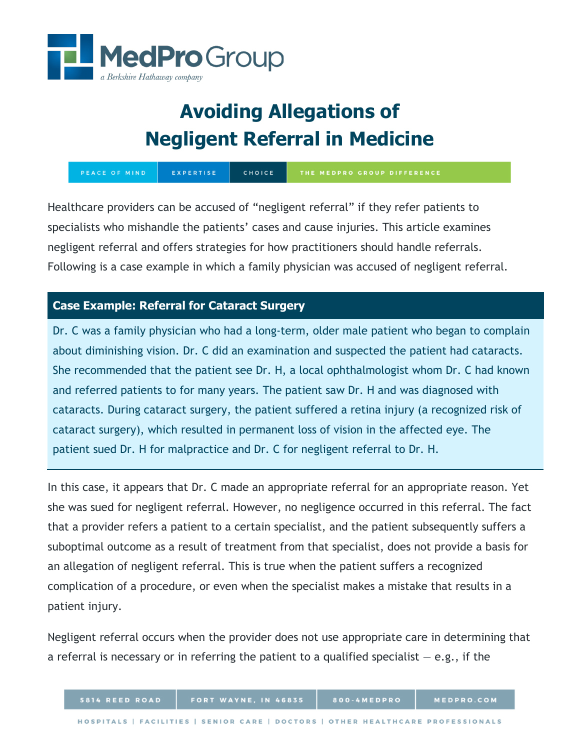

# **Avoiding Allegations of Negligent Referral in Medicine**

EXPERTISE CHOICE PEACE OF MIND THE MEDPRO GROUP DIFFERENCE

Healthcare providers can be accused of "negligent referral" if they refer patients to specialists who mishandle the patients' cases and cause injuries. This article examines negligent referral and offers strategies for how practitioners should handle referrals. Following is a case example in which a family physician was accused of negligent referral.

## **Case Example: Referral for Cataract Surgery**

Dr. C was a family physician who had a long-term, older male patient who began to complain about diminishing vision. Dr. C did an examination and suspected the patient had cataracts. She recommended that the patient see Dr. H, a local ophthalmologist whom Dr. C had known and referred patients to for many years. The patient saw Dr. H and was diagnosed with cataracts. During cataract surgery, the patient suffered a retina injury (a recognized risk of cataract surgery), which resulted in permanent loss of vision in the affected eye. The patient sued Dr. H for malpractice and Dr. C for negligent referral to Dr. H.

In this case, it appears that Dr. C made an appropriate referral for an appropriate reason. Yet she was sued for negligent referral. However, no negligence occurred in this referral. The fact that a provider refers a patient to a certain specialist, and the patient subsequently suffers a suboptimal outcome as a result of treatment from that specialist, does not provide a basis for an allegation of negligent referral. This is true when the patient suffers a recognized complication of a procedure, or even when the specialist makes a mistake that results in a patient injury.

Negligent referral occurs when the provider does not use appropriate care in determining that a referral is necessary or in referring the patient to a qualified specialist  $-e.g.,$  if the

**PROFESSIONALS**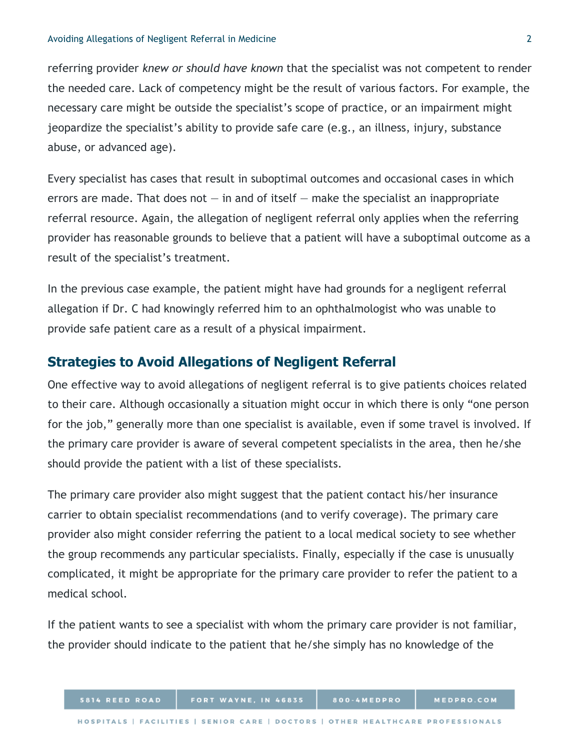#### Avoiding Allegations of Negligent Referral in Medicine 2

referring provider *knew or should have known* that the specialist was not competent to render the needed care. Lack of competency might be the result of various factors. For example, the necessary care might be outside the specialist's scope of practice, or an impairment might jeopardize the specialist's ability to provide safe care (e.g., an illness, injury, substance abuse, or advanced age).

Every specialist has cases that result in suboptimal outcomes and occasional cases in which errors are made. That does not  $-$  in and of itself  $-$  make the specialist an inappropriate referral resource. Again, the allegation of negligent referral only applies when the referring provider has reasonable grounds to believe that a patient will have a suboptimal outcome as a result of the specialist's treatment.

In the previous case example, the patient might have had grounds for a negligent referral allegation if Dr. C had knowingly referred him to an ophthalmologist who was unable to provide safe patient care as a result of a physical impairment.

## **Strategies to Avoid Allegations of Negligent Referral**

One effective way to avoid allegations of negligent referral is to give patients choices related to their care. Although occasionally a situation might occur in which there is only "one person for the job," generally more than one specialist is available, even if some travel is involved. If the primary care provider is aware of several competent specialists in the area, then he/she should provide the patient with a list of these specialists.

The primary care provider also might suggest that the patient contact his/her insurance carrier to obtain specialist recommendations (and to verify coverage). The primary care provider also might consider referring the patient to a local medical society to see whether the group recommends any particular specialists. Finally, especially if the case is unusually complicated, it might be appropriate for the primary care provider to refer the patient to a medical school.

If the patient wants to see a specialist with whom the primary care provider is not familiar, the provider should indicate to the patient that he/she simply has no knowledge of the